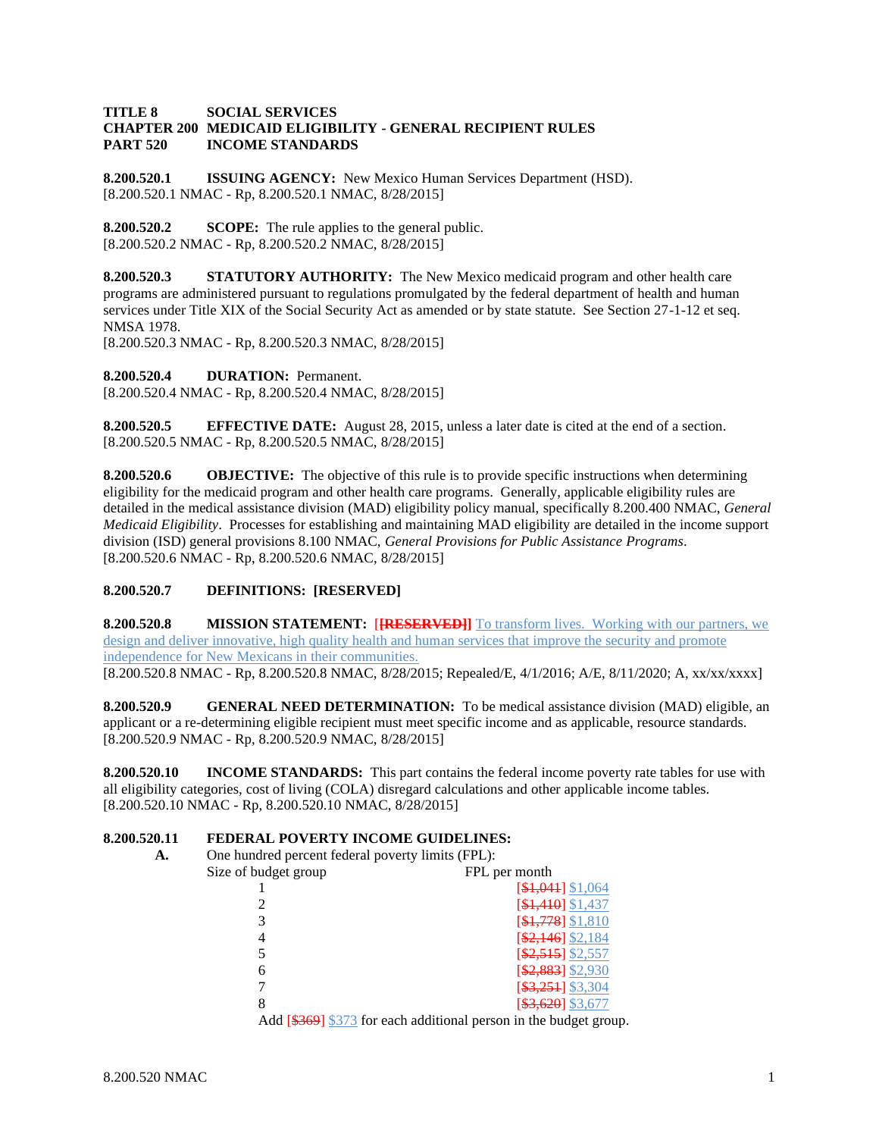#### **TITLE 8 SOCIAL SERVICES CHAPTER 200 MEDICAID ELIGIBILITY - GENERAL RECIPIENT RULES PART 520 INCOME STANDARDS**

**8.200.520.1 ISSUING AGENCY:** New Mexico Human Services Department (HSD). [8.200.520.1 NMAC - Rp, 8.200.520.1 NMAC, 8/28/2015]

**8.200.520.2 SCOPE:** The rule applies to the general public. [8.200.520.2 NMAC - Rp, 8.200.520.2 NMAC, 8/28/2015]

**8.200.520.3 STATUTORY AUTHORITY:** The New Mexico medicaid program and other health care programs are administered pursuant to regulations promulgated by the federal department of health and human services under Title XIX of the Social Security Act as amended or by state statute. See Section 27-1-12 et seq. NMSA 1978.

[8.200.520.3 NMAC - Rp, 8.200.520.3 NMAC, 8/28/2015]

**8.200.520.4 DURATION:** Permanent. [8.200.520.4 NMAC - Rp, 8.200.520.4 NMAC, 8/28/2015]

**8.200.520.5 EFFECTIVE DATE:** August 28, 2015, unless a later date is cited at the end of a section. [8.200.520.5 NMAC - Rp, 8.200.520.5 NMAC, 8/28/2015]

**8.200.520.6 OBJECTIVE:** The objective of this rule is to provide specific instructions when determining eligibility for the medicaid program and other health care programs. Generally, applicable eligibility rules are detailed in the medical assistance division (MAD) eligibility policy manual, specifically 8.200.400 NMAC, *General Medicaid Eligibility*. Processes for establishing and maintaining MAD eligibility are detailed in the income support division (ISD) general provisions 8.100 NMAC, *General Provisions for Public Assistance Programs*. [8.200.520.6 NMAC - Rp, 8.200.520.6 NMAC, 8/28/2015]

# **8.200.520.7 DEFINITIONS: [RESERVED]**

**8.200.520.8 MISSION STATEMENT:** [**[RESERVED]]** To transform lives. Working with our partners, we design and deliver innovative, high quality health and human services that improve the security and promote independence for New Mexicans in their communities. [8.200.520.8 NMAC - Rp, 8.200.520.8 NMAC, 8/28/2015; Repealed/E, 4/1/2016; A/E, 8/11/2020; A, xx/xx/xxxx]

**8.200.520.9 GENERAL NEED DETERMINATION:** To be medical assistance division (MAD) eligible, an applicant or a re-determining eligible recipient must meet specific income and as applicable, resource standards. [8.200.520.9 NMAC - Rp, 8.200.520.9 NMAC, 8/28/2015]

**8.200.520.10 INCOME STANDARDS:** This part contains the federal income poverty rate tables for use with all eligibility categories, cost of living (COLA) disregard calculations and other applicable income tables. [8.200.520.10 NMAC - Rp, 8.200.520.10 NMAC, 8/28/2015]

# **8.200.520.11 FEDERAL POVERTY INCOME GUIDELINES:**

**A.** One hundred percent federal poverty limits (FPL):

| Size of budget group | FPL per month                                                     |
|----------------------|-------------------------------------------------------------------|
|                      | $[$1,041]$ \$1,064                                                |
|                      | [\$1,410] \$1,437                                                 |
|                      | $[$1,778]$ \$1,810                                                |
|                      | $[$2,146]$ \$2,184                                                |
|                      | $[$ \$2,515] \$2,557                                              |
| 6                    | $$2,883$ ] \$2,930                                                |
|                      | $\[ $3,251]$ \$3,304                                              |
|                      | [\$3,620] \$3,677                                                 |
|                      | Add [\$369] \$373 for each additional person in the budget group. |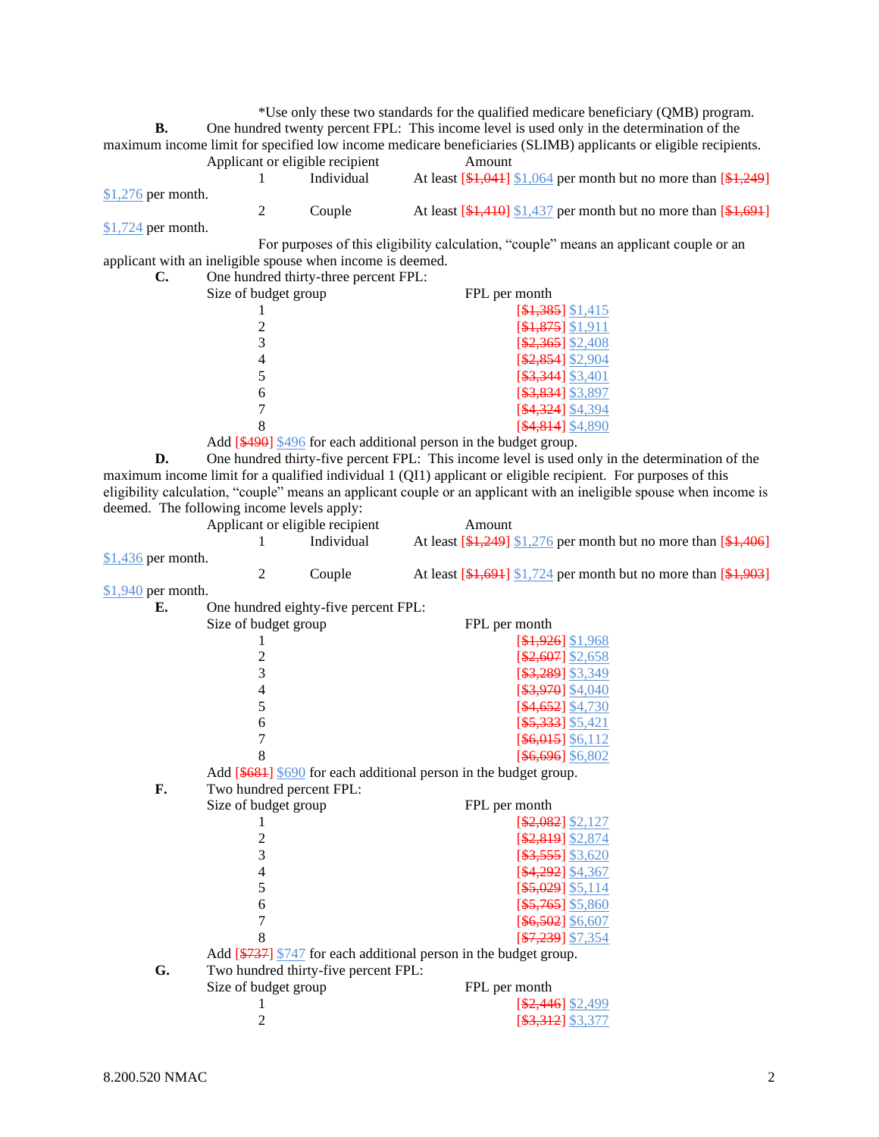\*Use only these two standards for the qualified medicare beneficiary (QMB) program. **B.** One hundred twenty percent FPL: This income level is used only in the determination of the maximum income limit for specified low income medicare beneficiaries (SLIMB) applicants or eligible recipients. Applicant or eligible recipient Amount

|                     | Individual | At least $[4, 041]$ \$1,064 per month but no more than $[4, 249]$                                            |
|---------------------|------------|--------------------------------------------------------------------------------------------------------------|
| $$1,276$ per month. |            |                                                                                                              |
|                     | Couple     | At least $\left[\frac{1410}{1410}\right]$ \$1,437 per month but no more than $\left[\frac{1691}{140}\right]$ |
| $$1,724$ per month. |            |                                                                                                              |

For purposes of this eligibility calculation, "couple" means an applicant couple or an applicant with an ineligible spouse when income is deemed.

| い. |  |  | One hundred thirty-three percent FPL: |  |
|----|--|--|---------------------------------------|--|
|    |  |  |                                       |  |

| Size of budget group | FPL per month          |
|----------------------|------------------------|
|                      | $[$1,385]$ \$1,415     |
|                      | $[$1,875]$ \$1,911     |
|                      | $[$2,365]$ \$2,408     |
|                      | $[$2,854]$ \$2,904     |
|                      | $[$ \$3,344] \$3,401   |
|                      | [\$3,834] \$3,897      |
|                      | <b>\$4,324</b> \$4,394 |
|                      | $$4,814]$ \$4,8        |

Add [\$490] \$496 for each additional person in the budget group.

**D.** One hundred thirty-five percent FPL: This income level is used only in the determination of the maximum income limit for a qualified individual 1 (QI1) applicant or eligible recipient. For purposes of this eligibility calculation, "couple" means an applicant couple or an applicant with an ineligible spouse when income is deemed. The following income levels apply:

|                           | Applicant or eligible recipient |            | Amount                                                          |
|---------------------------|---------------------------------|------------|-----------------------------------------------------------------|
|                           |                                 | Individual | At least $[4,249]$ \$1,276 per month but no more than $[4,406]$ |
| $$1,436$ per month.       |                                 |            |                                                                 |
|                           |                                 | Couple     | At least $[4,694]$ \$1,724 per month but no more than $[4,903]$ |
| $0.1 \cap A \cap  \cap A$ |                                 |            |                                                                 |

\$1,940 per month.

| $\frac{0}{2}$ por moment<br>Е. |                                      |                                                                             |
|--------------------------------|--------------------------------------|-----------------------------------------------------------------------------|
|                                | One hundred eighty-five percent FPL: |                                                                             |
|                                | Size of budget group                 | FPL per month                                                               |
|                                |                                      | $[$1,926]$ \$1,968                                                          |
|                                | $\overline{c}$                       | $[$2,607]$ \$2,658                                                          |
|                                | 3                                    | $[$ \$3,289] \$3,349                                                        |
|                                | 4                                    | $[$ \$3,970] \$4,040                                                        |
|                                | 5                                    | $[$4,652]$ \$4,730                                                          |
|                                | 6                                    | $[$5,333]$ \$5,421                                                          |
|                                | 7                                    | $[$ \$6,015] \$6,112                                                        |
|                                | 8                                    | $[$ \$6,696] \$6,802                                                        |
|                                |                                      | Add $[$ \$681] \frac{\$690} for each additional person in the budget group. |
| F.                             | Two hundred percent FPL:             |                                                                             |
|                                | Size of budget group                 | FPL per month                                                               |
|                                |                                      | $[$2,082]$ \$2,127                                                          |
|                                | $\overline{c}$                       | \$2,819] \$2,874                                                            |
|                                | 3                                    | $[$ \$3,555] \$3,620                                                        |
|                                | $\overline{4}$                       | [\$4,292] \$4,367                                                           |
|                                | 5                                    | $[$ \$5,029] \$5,114                                                        |
|                                | 6                                    | $[$ \$5,765] \$5,860                                                        |
|                                | 7                                    | $[$ \$6,502] \$6,607                                                        |
|                                | 8                                    | $[$7,239]$ \$7,354                                                          |
|                                |                                      | Add [\$737] \$747 for each additional person in the budget group.           |
| G.                             | Two hundred thirty-five percent FPL: |                                                                             |
|                                | Size of budget group                 | FPL per month                                                               |
|                                |                                      | $[$2,446]$ \$2,499                                                          |
|                                | 2                                    | [ <del>\$3,312</del> ] \$3,377                                              |
|                                |                                      |                                                                             |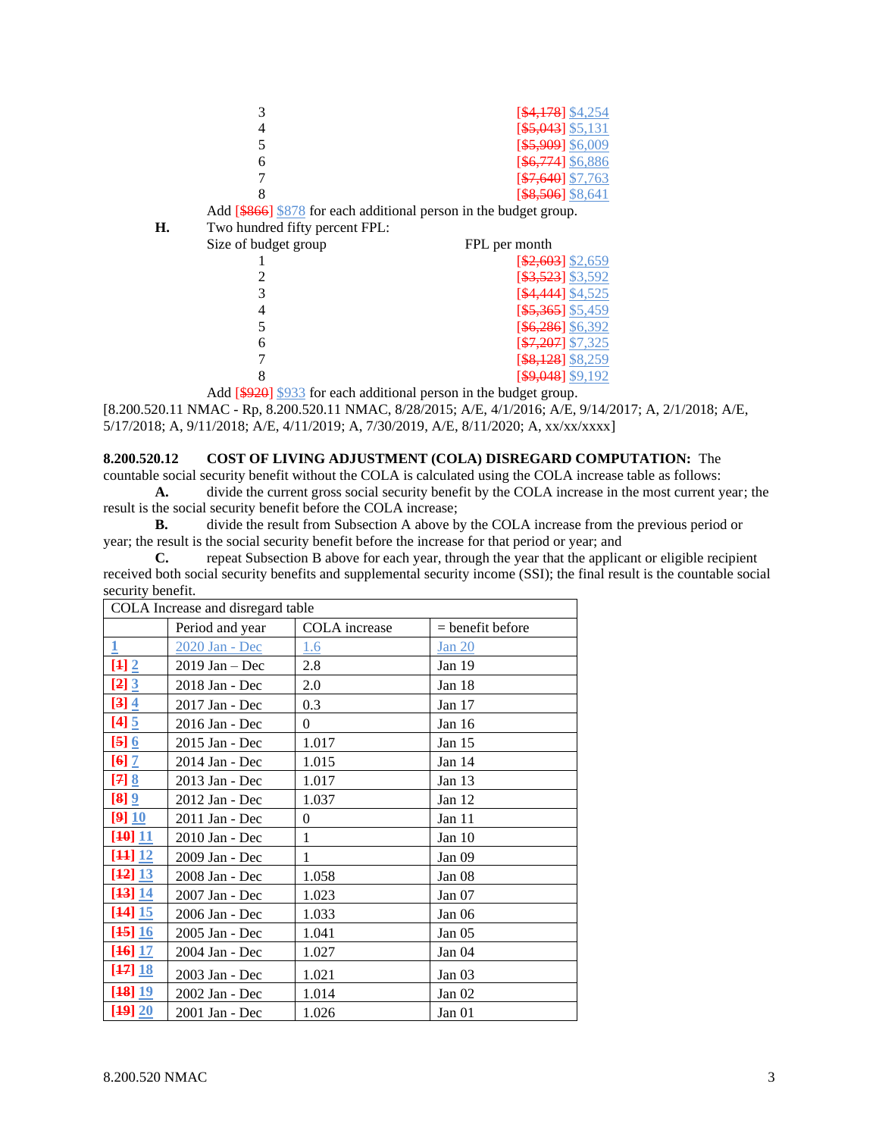| $[$4,178]$ \$4,254   |
|----------------------|
| $[$ \$5,043] \$5,131 |
| $[$ \$5,909] \$6,009 |
| [\$6,774] \$6,886    |
| $[$7,640]$ \$7,763   |
| $[$ \$8,506] \$8,641 |

Add [\$866] \$878 for each additional person in the budget group.

**H.** Two hundred fifty percent FPL:

| Size of budget group | FPL per month                 |
|----------------------|-------------------------------|
|                      | $[$2,603]$ \$2,659            |
|                      | [\$3,523] \$3,592             |
|                      | [\$4,444] \$4,525             |
|                      | $[$ \$5,365] \$5,459          |
|                      | $[$6,286]$ \$6,392            |
|                      | $[$7,207]$ \$7,325            |
|                      | [\$8,128] \$8,259             |
|                      | $\left[49,048\right]$ \$9,192 |

Add [\$920] \$933 for each additional person in the budget group. [8.200.520.11 NMAC - Rp, 8.200.520.11 NMAC, 8/28/2015; A/E, 4/1/2016; A/E, 9/14/2017; A, 2/1/2018; A/E, 5/17/2018; A, 9/11/2018; A/E, 4/11/2019; A, 7/30/2019, A/E, 8/11/2020; A, xx/xx/xxxx]

# **8.200.520.12 COST OF LIVING ADJUSTMENT (COLA) DISREGARD COMPUTATION:** The

countable social security benefit without the COLA is calculated using the COLA increase table as follows: **A.** divide the current gross social security benefit by the COLA increase in the most current year; the

result is the social security benefit before the COLA increase; **B.** divide the result from Subsection A above by the COLA increase from the previous period or year; the result is the social security benefit before the increase for that period or year; and

**C.** repeat Subsection B above for each year, through the year that the applicant or eligible recipient received both social security benefits and supplemental security income (SSI); the final result is the countable social security benefit.

|                      | COLA Increase and disregard table |               |                    |  |
|----------------------|-----------------------------------|---------------|--------------------|--|
|                      | Period and year                   | COLA increase | $=$ benefit before |  |
| $\overline{1}$       | 2020 Jan - Dec                    | <u>1.6</u>    | <b>Jan 20</b>      |  |
| $[4] 2$              | $2019$ Jan - Dec                  | 2.8           | Jan 19             |  |
| $[2]$ $[3]$          | 2018 Jan - Dec                    | 2.0           | Jan 18             |  |
| $[3]$ 4              | 2017 Jan - Dec                    | 0.3           | Jan 17             |  |
| $[4]$ 5              | 2016 Jan - Dec                    | $\theta$      | Jan 16             |  |
| $[5]$ $6$            | 2015 Jan - Dec                    | 1.017         | Jan 15             |  |
| $[6]$ $\overline{7}$ | 2014 Jan - Dec                    | 1.015         | Jan 14             |  |
| $[7]$ $8$            | 2013 Jan - Dec                    | 1.017         | Jan $13$           |  |
| $[8]$ $[2]$          | 2012 Jan - Dec                    | 1.037         | Jan 12             |  |
| [9]10                | 2011 Jan - Dec                    | $\theta$      | Jan 11             |  |
| [40] 11              | 2010 Jan - Dec                    | $\mathbf{1}$  | Jan 10             |  |
| [44] 12              | 2009 Jan - Dec                    | 1             | Jan 09             |  |
| [42] 13              | 2008 Jan - Dec                    | 1.058         | Jan 08             |  |
| [43] 14              | 2007 Jan - Dec                    | 1.023         | Jan 07             |  |
| [44] 15              | 2006 Jan - Dec                    | 1.033         | Jan 06             |  |
| [45] 16              | 2005 Jan - Dec                    | 1.041         | Jan $05$           |  |
| [46] 17              | 2004 Jan - Dec                    | 1.027         | Jan 04             |  |
| [47] 18              | 2003 Jan - Dec                    | 1.021         | Jan $03$           |  |
| [48]19               | 2002 Jan - Dec                    | 1.014         | Jan $02$           |  |
| [49] 20              | 2001 Jan - Dec                    | 1.026         | Jan 01             |  |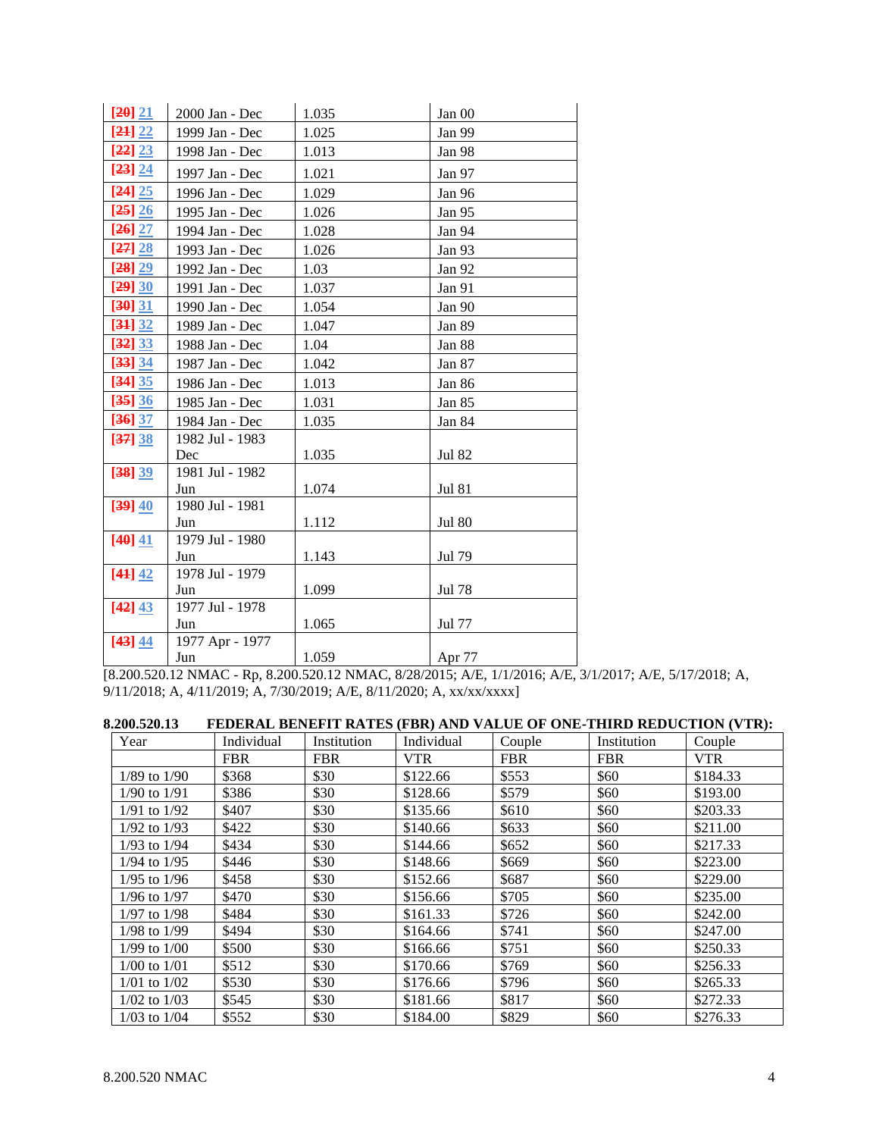| [20] 21   | 2000 Jan - Dec  | 1.035 | Jan 00        |
|-----------|-----------------|-------|---------------|
| [24] 22   | 1999 Jan - Dec  | 1.025 | Jan 99        |
| [22] 23   | 1998 Jan - Dec  | 1.013 | Jan 98        |
| [23] 24   | 1997 Jan - Dec  | 1.021 | Jan 97        |
| [24] 25   | 1996 Jan - Dec  | 1.029 | Jan 96        |
| [25] 26   | 1995 Jan - Dec  | 1.026 | Jan 95        |
| $[26]$ 27 | 1994 Jan - Dec  | 1.028 | Jan 94        |
| [27] 28   | 1993 Jan - Dec  | 1.026 | Jan 93        |
| [28] 29   | 1992 Jan - Dec  | 1.03  | Jan 92        |
| [29] 30   | 1991 Jan - Dec  | 1.037 | Jan 91        |
| [30] 31   | 1990 Jan - Dec  | 1.054 | Jan 90        |
| [34] 32   | 1989 Jan - Dec  | 1.047 | Jan 89        |
| [32] 33   | 1988 Jan - Dec  | 1.04  | Jan 88        |
| [33] 34   | 1987 Jan - Dec  | 1.042 | Jan 87        |
| [34] 35   | 1986 Jan - Dec  | 1.013 | Jan 86        |
| [35] 36   | 1985 Jan - Dec  | 1.031 | Jan 85        |
| [36] 37   | 1984 Jan - Dec  | 1.035 | Jan 84        |
| [37] 38   | 1982 Jul - 1983 |       |               |
|           | Dec             | 1.035 | <b>Jul 82</b> |
| [38] 39   | 1981 Jul - 1982 |       |               |
|           | Jun             | 1.074 | <b>Jul 81</b> |
| [39] 40   | 1980 Jul - 1981 |       |               |
|           | Jun             | 1.112 | <b>Jul 80</b> |
| [40] 41   | 1979 Jul - 1980 |       |               |
|           | Jun             | 1.143 | Jul 79        |
| [44] 42   | 1978 Jul - 1979 |       |               |
|           | Jun             | 1.099 | Jul 78        |
| [42] 43   | 1977 Jul - 1978 |       |               |
|           | Jun             | 1.065 | Jul 77        |
| [43] 44   | 1977 Apr - 1977 |       |               |
|           | Jun             | 1.059 | Apr 77        |

[8.200.520.12 NMAC - Rp, 8.200.520.12 NMAC, 8/28/2015; A/E, 1/1/2016; A/E, 3/1/2017; A/E, 5/17/2018; A, 9/11/2018; A, 4/11/2019; A, 7/30/2019; A/E, 8/11/2020; A, xx/xx/xxxx]

| 8.200.520.13     |     |                             |                                                                                                                                                                                                                                                 | FEDERAL BENEFIT RATES (FBR) AND VALUE OF ONE-THIRD REDUCTION (VTR): |                                                                                                                                                                      |               |  |
|------------------|-----|-----------------------------|-------------------------------------------------------------------------------------------------------------------------------------------------------------------------------------------------------------------------------------------------|---------------------------------------------------------------------|----------------------------------------------------------------------------------------------------------------------------------------------------------------------|---------------|--|
| $V_{\text{max}}$ | . 1 | $\mathbf{L}$ . $\mathbf{L}$ | $\blacksquare$ $\blacksquare$ $\blacksquare$ $\blacksquare$ $\blacksquare$ $\blacksquare$ $\blacksquare$ $\blacksquare$ $\blacksquare$ $\blacksquare$ $\blacksquare$ $\blacksquare$ $\blacksquare$ $\blacksquare$ $\blacksquare$ $\blacksquare$ | $\overline{C}$ $1$ .                                                | $\blacksquare$ $\blacksquare$ $\blacksquare$ $\blacksquare$ $\blacksquare$ $\blacksquare$ $\blacksquare$ $\blacksquare$ $\blacksquare$ $\blacksquare$ $\blacksquare$ | $\sim$ $\sim$ |  |

| Year             | Individual | Institution | Individual | Couple     | Institution | Couple     |
|------------------|------------|-------------|------------|------------|-------------|------------|
|                  | <b>FBR</b> | <b>FBR</b>  | <b>VTR</b> | <b>FBR</b> | <b>FBR</b>  | <b>VTR</b> |
| $1/89$ to $1/90$ | \$368      | \$30        | \$122.66   | \$553      | \$60        | \$184.33   |
| $1/90$ to $1/91$ | \$386      | \$30        | \$128.66   | \$579      | \$60        | \$193.00   |
| $1/91$ to $1/92$ | \$407      | \$30        | \$135.66   | \$610      | \$60        | \$203.33   |
| 1/92 to 1/93     | \$422      | \$30        | \$140.66   | \$633      | \$60        | \$211.00   |
| $1/93$ to $1/94$ | \$434      | \$30        | \$144.66   | \$652      | \$60        | \$217.33   |
| 1/94 to 1/95     | \$446      | \$30        | \$148.66   | \$669      | \$60        | \$223.00   |
| 1/95 to 1/96     | \$458      | \$30        | \$152.66   | \$687      | \$60        | \$229.00   |
| 1/96 to 1/97     | \$470      | \$30        | \$156.66   | \$705      | \$60        | \$235.00   |
| 1/97 to 1/98     | \$484      | \$30        | \$161.33   | \$726      | \$60        | \$242.00   |
| $1/98$ to $1/99$ | \$494      | \$30        | \$164.66   | \$741      | \$60        | \$247.00   |
| 1/99 to 1/00     | \$500      | \$30        | \$166.66   | \$751      | \$60        | \$250.33   |
| $1/00$ to $1/01$ | \$512      | \$30        | \$170.66   | \$769      | \$60        | \$256.33   |
| $1/01$ to $1/02$ | \$530      | \$30        | \$176.66   | \$796      | \$60        | \$265.33   |
| $1/02$ to $1/03$ | \$545      | \$30        | \$181.66   | \$817      | \$60        | \$272.33   |
| $1/03$ to $1/04$ | \$552      | \$30        | \$184.00   | \$829      | \$60        | \$276.33   |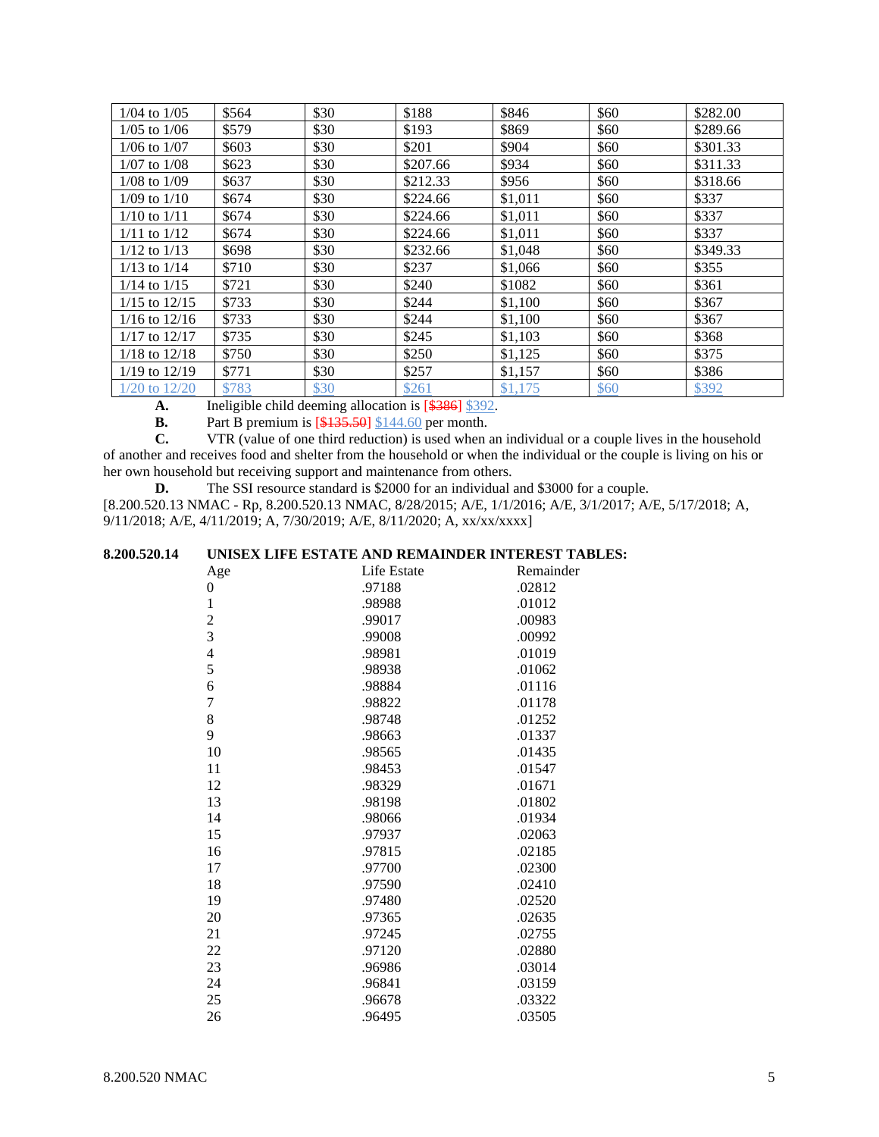| $1/04$ to $1/05$  | \$564 | \$30 | \$188    | \$846   | \$60 | \$282.00 |
|-------------------|-------|------|----------|---------|------|----------|
| $1/05$ to $1/06$  | \$579 | \$30 | \$193    | \$869   | \$60 | \$289.66 |
| $1/06$ to $1/07$  | \$603 | \$30 | \$201    | \$904   | \$60 | \$301.33 |
| $1/07$ to $1/08$  | \$623 | \$30 | \$207.66 | \$934   | \$60 | \$311.33 |
| $1/08$ to $1/09$  | \$637 | \$30 | \$212.33 | \$956   | \$60 | \$318.66 |
| $1/09$ to $1/10$  | \$674 | \$30 | \$224.66 | \$1,011 | \$60 | \$337    |
| $1/10$ to $1/11$  | \$674 | \$30 | \$224.66 | \$1,011 | \$60 | \$337    |
| $1/11$ to $1/12$  | \$674 | \$30 | \$224.66 | \$1,011 | \$60 | \$337    |
| $1/12$ to $1/13$  | \$698 | \$30 | \$232.66 | \$1,048 | \$60 | \$349.33 |
| $1/13$ to $1/14$  | \$710 | \$30 | \$237    | \$1,066 | \$60 | \$355    |
| $1/14$ to $1/15$  | \$721 | \$30 | \$240    | \$1082  | \$60 | \$361    |
| $1/15$ to $12/15$ | \$733 | \$30 | \$244    | \$1,100 | \$60 | \$367    |
| $1/16$ to $12/16$ | \$733 | \$30 | \$244    | \$1,100 | \$60 | \$367    |
| $1/17$ to $12/17$ | \$735 | \$30 | \$245    | \$1,103 | \$60 | \$368    |
| $1/18$ to $12/18$ | \$750 | \$30 | \$250    | \$1,125 | \$60 | \$375    |
| $1/19$ to $12/19$ | \$771 | \$30 | \$257    | \$1,157 | \$60 | \$386    |
| $1/20$ to $12/20$ | \$783 | \$30 | \$261    | \$1,175 | \$60 | \$392    |

A. Ineligible child deeming allocation is [\$386] \$392.

**B.** Part B premium is [\$135.50] \$144.60 per month.<br>**C.** VTR (value of one third reduction) is used when a

VTR (value of one third reduction) is used when an individual or a couple lives in the household of another and receives food and shelter from the household or when the individual or the couple is living on his or her own household but receiving support and maintenance from others.

**D.** The SSI resource standard is \$2000 for an individual and \$3000 for a couple. [8.200.520.13 NMAC - Rp, 8.200.520.13 NMAC, 8/28/2015; A/E, 1/1/2016; A/E, 3/1/2017; A/E, 5/17/2018; A, 9/11/2018; A/E, 4/11/2019; A, 7/30/2019; A/E, 8/11/2020; A, xx/xx/xxxx]

# **8.200.520.14 UNISEX LIFE ESTATE AND REMAINDER INTEREST TABLES:**

| Age            | Life Estate | Remainder |
|----------------|-------------|-----------|
| $\theta$       | .97188      | .02812    |
| $\mathbf{1}$   | .98988      | .01012    |
| $\overline{c}$ | .99017      | .00983    |
| 3              | .99008      | .00992    |
| $\overline{4}$ | .98981      | .01019    |
| 5              | .98938      | .01062    |
| 6              | .98884      | .01116    |
| 7              | .98822      | .01178    |
| 8              | .98748      | .01252    |
| 9              | .98663      | .01337    |
| 10             | .98565      | .01435    |
| 11             | .98453      | .01547    |
| 12             | .98329      | .01671    |
| 13             | .98198      | .01802    |
| 14             | .98066      | .01934    |
| 15             | .97937      | .02063    |
| 16             | .97815      | .02185    |
| 17             | .97700      | .02300    |
| 18             | .97590      | .02410    |
| 19             | .97480      | .02520    |
| 20             | .97365      | .02635    |
| 21             | .97245      | .02755    |
| 22             | .97120      | .02880    |
| 23             | .96986      | .03014    |
| 24             | .96841      | .03159    |
| 25             | .96678      | .03322    |
| 26             | .96495      | .03505    |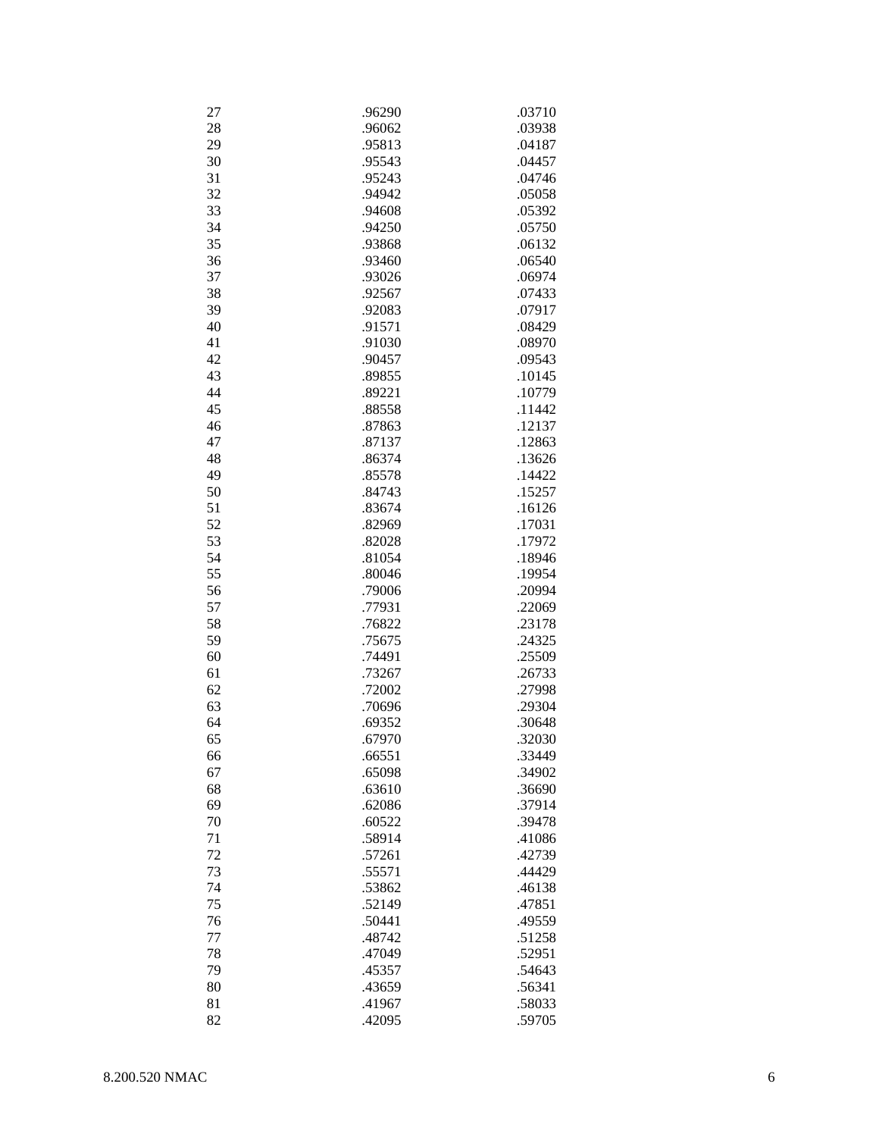| 27 | .96290 | .03710 |
|----|--------|--------|
| 28 | .96062 | .03938 |
| 29 | .95813 | .04187 |
| 30 | .95543 | .04457 |
| 31 | .95243 | .04746 |
| 32 | .94942 | .05058 |
| 33 | .94608 | .05392 |
| 34 | .94250 | .05750 |
| 35 | .93868 | .06132 |
|    |        |        |
| 36 | .93460 | .06540 |
| 37 | .93026 | .06974 |
| 38 | .92567 | .07433 |
| 39 | .92083 | .07917 |
| 40 | .91571 | .08429 |
| 41 | .91030 | .08970 |
| 42 | .90457 | .09543 |
| 43 | .89855 | .10145 |
| 44 | .89221 | .10779 |
| 45 | .88558 | .11442 |
|    |        |        |
| 46 | .87863 | .12137 |
| 47 | .87137 | .12863 |
| 48 | .86374 | .13626 |
| 49 | .85578 | .14422 |
| 50 | .84743 | .15257 |
| 51 | .83674 | .16126 |
| 52 | .82969 | .17031 |
| 53 | .82028 | .17972 |
| 54 | .81054 | .18946 |
| 55 | .80046 | .19954 |
| 56 | .79006 | .20994 |
|    |        |        |
| 57 | .77931 | .22069 |
| 58 | .76822 | .23178 |
| 59 | .75675 | .24325 |
| 60 | .74491 | .25509 |
| 61 | .73267 | .26733 |
| 62 | .72002 | .27998 |
| 63 | .70696 | .29304 |
| 64 | .69352 | .30648 |
| 65 | .67970 | .32030 |
| 66 | .66551 | .33449 |
| 67 | .65098 | .34902 |
| 68 | .63610 | .36690 |
|    |        |        |
| 69 | .62086 | .37914 |
| 70 | .60522 | .39478 |
| 71 | .58914 | .41086 |
| 72 | .57261 | .42739 |
| 73 | .55571 | .44429 |
| 74 | .53862 | .46138 |
| 75 | .52149 | .47851 |
| 76 | .50441 | .49559 |
| 77 | .48742 | .51258 |
| 78 | .47049 | .52951 |
| 79 | .45357 | .54643 |
|    |        |        |
| 80 | .43659 | .56341 |
| 81 | .41967 | .58033 |
| 82 | .42095 | .59705 |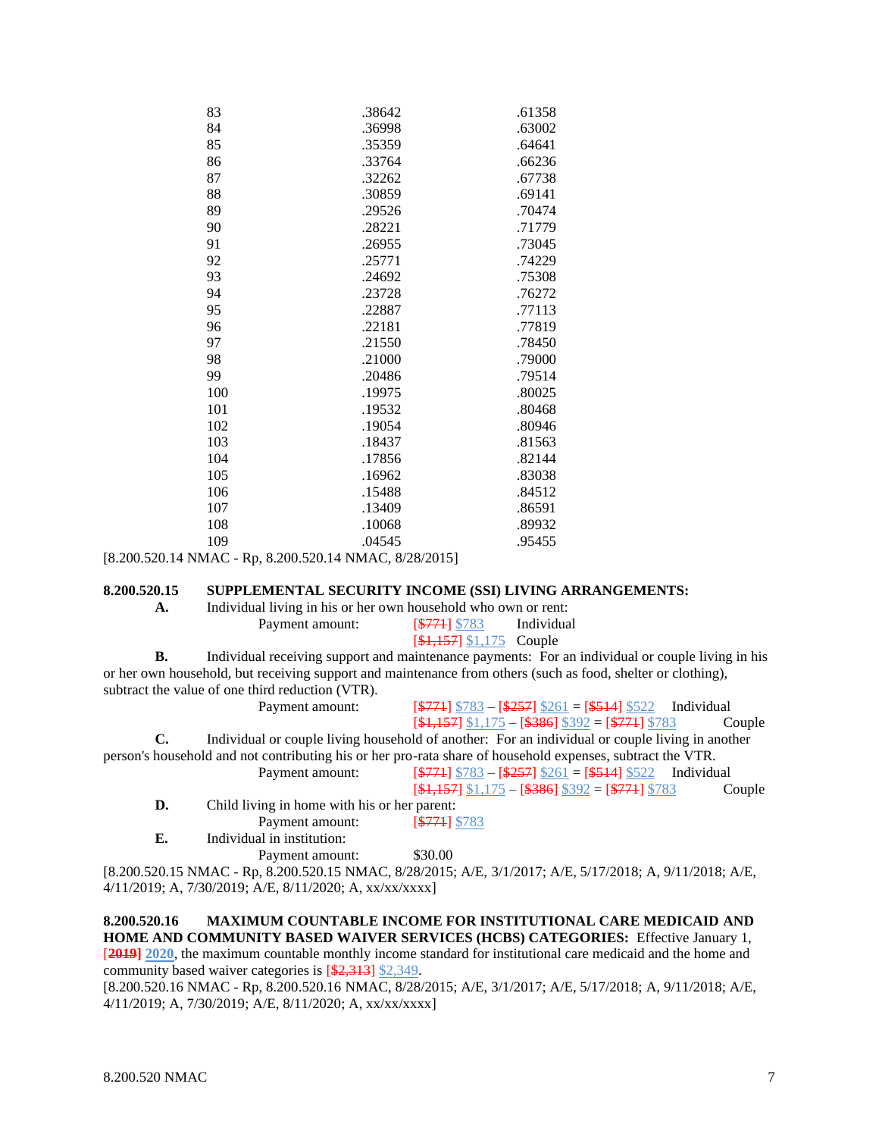| 83  | .38642 | .61358 |
|-----|--------|--------|
| 84  | .36998 | .63002 |
| 85  | .35359 | .64641 |
| 86  | .33764 | .66236 |
| 87  | .32262 | .67738 |
| 88  | .30859 | .69141 |
| 89  | .29526 | .70474 |
| 90  | .28221 | .71779 |
| 91  | .26955 | .73045 |
| 92  | .25771 | .74229 |
| 93  | .24692 | .75308 |
| 94  | .23728 | .76272 |
| 95  | .22887 | .77113 |
| 96  | .22181 | .77819 |
| 97  | .21550 | .78450 |
| 98  | .21000 | .79000 |
| 99  | .20486 | .79514 |
| 100 | .19975 | .80025 |
| 101 | .19532 | .80468 |
| 102 | .19054 | .80946 |
| 103 | .18437 | .81563 |
| 104 | .17856 | .82144 |
| 105 | .16962 | .83038 |
| 106 | .15488 | .84512 |
| 107 | .13409 | .86591 |
| 108 | .10068 | .89932 |
| 109 | .04545 | .95455 |
|     |        |        |

[8.200.520.14 NMAC - Rp, 8.200.520.14 NMAC, 8/28/2015]

# **8.200.520.15 SUPPLEMENTAL SECURITY INCOME (SSI) LIVING ARRANGEMENTS:**

| А. | Individual living in his or her own household who own or rent: |                            |            |
|----|----------------------------------------------------------------|----------------------------|------------|
|    | Payment amount:                                                | [ <del>\$771</del> ] \$783 | Individual |
|    |                                                                | $[4,157]$ \$1,175 Couple   |            |

**B.** Individual receiving support and maintenance payments: For an individual or couple living in his or her own household, but receiving support and maintenance from others (such as food, shelter or clothing), subtract the value of one third reduction (VTR). Payment amount:  $\frac{2771}{8783} - \frac{2557}{8261} - \frac{12514}{8522}$  Individual

|    | I ayıncın alılount.                          | $ \psi_{TTT} $ $\psi_{T0J}$ = $ \psi_{ZUT} $ $\psi_{Z01}$ = $ \psi_{TTT} $ $\psi_{JZZ}$ = murvidual        |
|----|----------------------------------------------|------------------------------------------------------------------------------------------------------------|
|    |                                              | $[$1,157]$ \$1,175 - [\$386] \$392 = [\$771] \$783<br>Couple                                               |
| С. |                                              | Individual or couple living household of another: For an individual or couple living in another            |
|    |                                              | person's household and not contributing his or her pro-rata share of household expenses, subtract the VTR. |
|    | Payment amount:                              | $$\sqrt{274}$ \\$783 - \\$257\\$261 = \\$514\\$522 \ Individual                                            |
|    |                                              | $[$1,157]$ \$1,175 - [\$386] \$392 = [\$771] \$783<br>Couple                                               |
| D. | Child living in home with his or her parent: |                                                                                                            |
|    | Payment amount:                              | $5771$ \$783                                                                                               |
|    |                                              |                                                                                                            |

**E.** Individual in institution:

Payment amount: \$30.00

[8.200.520.15 NMAC - Rp, 8.200.520.15 NMAC, 8/28/2015; A/E, 3/1/2017; A/E, 5/17/2018; A, 9/11/2018; A/E, 4/11/2019; A, 7/30/2019; A/E, 8/11/2020; A, xx/xx/xxxx]

## **8.200.520.16 MAXIMUM COUNTABLE INCOME FOR INSTITUTIONAL CARE MEDICAID AND HOME AND COMMUNITY BASED WAIVER SERVICES (HCBS) CATEGORIES:** Effective January 1, [**2019] 2020**, the maximum countable monthly income standard for institutional care medicaid and the home and community based waiver categories is [\$2,313] \$2,349.

[8.200.520.16 NMAC - Rp, 8.200.520.16 NMAC, 8/28/2015; A/E, 3/1/2017; A/E, 5/17/2018; A, 9/11/2018; A/E, 4/11/2019; A, 7/30/2019; A/E, 8/11/2020; A, xx/xx/xxxx]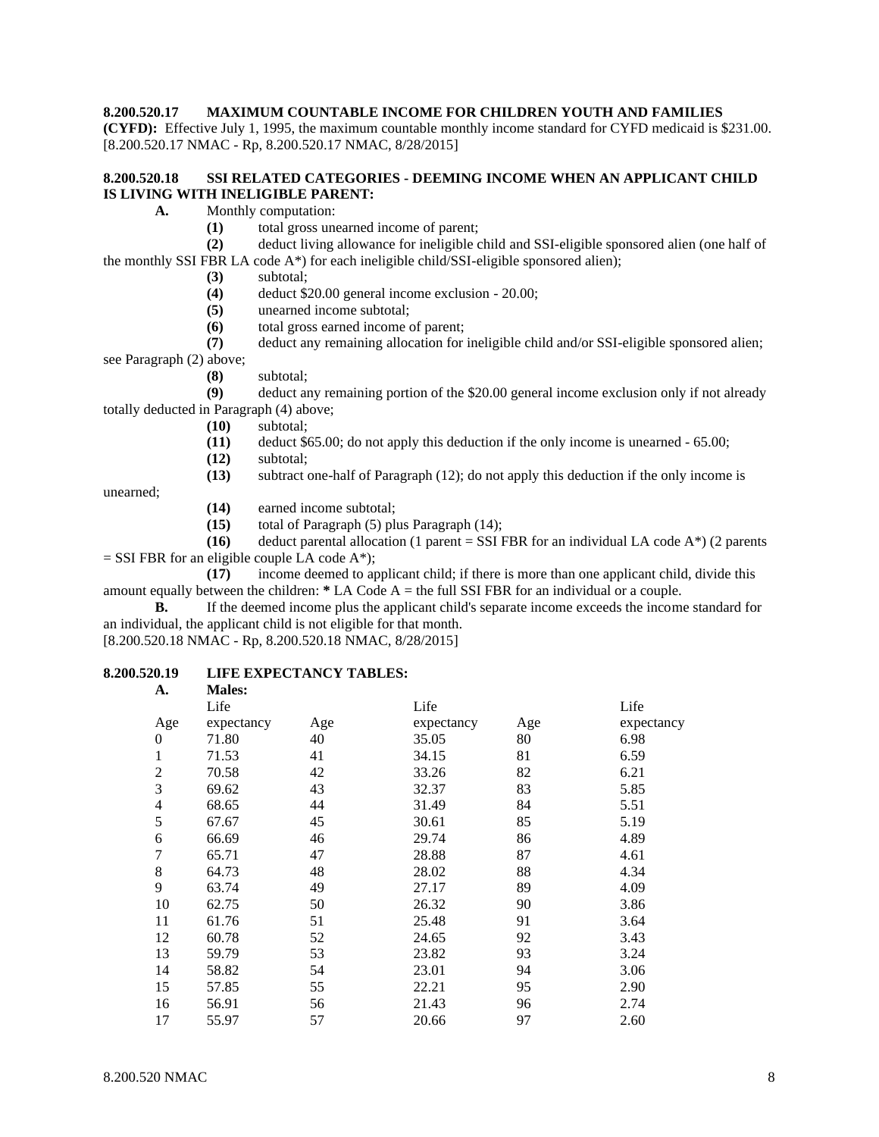### **8.200.520.17 MAXIMUM COUNTABLE INCOME FOR CHILDREN YOUTH AND FAMILIES**

**(CYFD):** Effective July 1, 1995, the maximum countable monthly income standard for CYFD medicaid is \$231.00. [8.200.520.17 NMAC - Rp, 8.200.520.17 NMAC, 8/28/2015]

## **8.200.520.18 SSI RELATED CATEGORIES - DEEMING INCOME WHEN AN APPLICANT CHILD IS LIVING WITH INELIGIBLE PARENT:**

- **A.** Monthly computation:
	- **(1)** total gross unearned income of parent;

**(2)** deduct living allowance for ineligible child and SSI-eligible sponsored alien (one half of the monthly SSI FBR LA code A\*) for each ineligible child/SSI-eligible sponsored alien);

- **(3)** subtotal;
- **(4)** deduct \$20.00 general income exclusion 20.00;
- **(5)** unearned income subtotal;
- **(6)** total gross earned income of parent;

**(7)** deduct any remaining allocation for ineligible child and/or SSI-eligible sponsored alien; see Paragraph (2) above;

**(8)** subtotal;

**(9)** deduct any remaining portion of the \$20.00 general income exclusion only if not already totally deducted in Paragraph (4) above;

- **(10)** subtotal;
- **(11)** deduct \$65.00; do not apply this deduction if the only income is unearned 65.00;
- **(12)** subtotal;

**(13)** subtract one-half of Paragraph (12); do not apply this deduction if the only income is

unearned;

- **(14)** earned income subtotal;
- **(15)** total of Paragraph (5) plus Paragraph (14);

**(16)** deduct parental allocation (1 parent = SSI FBR for an individual LA code  $A^*$ ) (2 parents  $=$  SSI FBR for an eligible couple LA code A\*);

**(17)** income deemed to applicant child; if there is more than one applicant child, divide this amount equally between the children: **\*** LA Code A = the full SSI FBR for an individual or a couple.

**B.** If the deemed income plus the applicant child's separate income exceeds the income standard for an individual, the applicant child is not eligible for that month.

[8.200.520.18 NMAC - Rp, 8.200.520.18 NMAC, 8/28/2015]

#### **8.200.520.19 LIFE EXPECTANCY TABLES: A. Males:**

| .              | 11101CJ.   |     |            |     |            |
|----------------|------------|-----|------------|-----|------------|
|                | Life       |     | Life       |     | Life       |
| Age            | expectancy | Age | expectancy | Age | expectancy |
| $\theta$       | 71.80      | 40  | 35.05      | 80  | 6.98       |
| 1              | 71.53      | 41  | 34.15      | 81  | 6.59       |
| $\overline{2}$ | 70.58      | 42  | 33.26      | 82  | 6.21       |
| 3              | 69.62      | 43  | 32.37      | 83  | 5.85       |
| 4              | 68.65      | 44  | 31.49      | 84  | 5.51       |
| 5              | 67.67      | 45  | 30.61      | 85  | 5.19       |
| 6              | 66.69      | 46  | 29.74      | 86  | 4.89       |
| 7              | 65.71      | 47  | 28.88      | 87  | 4.61       |
| 8              | 64.73      | 48  | 28.02      | 88  | 4.34       |
| 9              | 63.74      | 49  | 27.17      | 89  | 4.09       |
| 10             | 62.75      | 50  | 26.32      | 90  | 3.86       |
| 11             | 61.76      | 51  | 25.48      | 91  | 3.64       |
| 12             | 60.78      | 52  | 24.65      | 92  | 3.43       |
| 13             | 59.79      | 53  | 23.82      | 93  | 3.24       |
| 14             | 58.82      | 54  | 23.01      | 94  | 3.06       |
| 15             | 57.85      | 55  | 22.21      | 95  | 2.90       |
| 16             | 56.91      | 56  | 21.43      | 96  | 2.74       |
| 17             | 55.97      | 57  | 20.66      | 97  | 2.60       |
|                |            |     |            |     |            |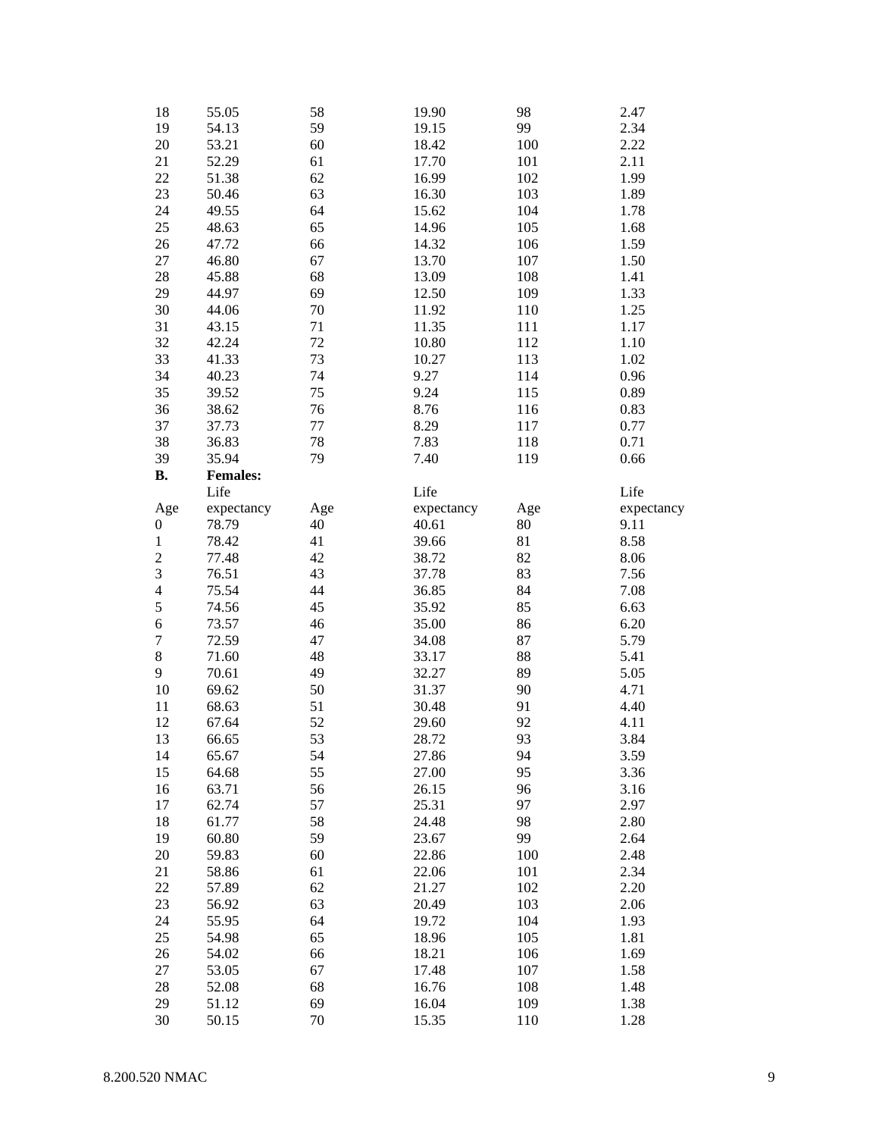| 18                      | 55.05           | 58       | 19.90          | 98         | 2.47         |
|-------------------------|-----------------|----------|----------------|------------|--------------|
| 19                      | 54.13           | 59       | 19.15          | 99         | 2.34         |
| 20                      | 53.21           | 60       | 18.42          | 100        | 2.22         |
| 21                      | 52.29           | 61       | 17.70          | 101        | 2.11         |
| 22                      | 51.38           | 62       | 16.99          | 102        | 1.99         |
| 23                      | 50.46           | 63       | 16.30          | 103        | 1.89         |
| 24                      | 49.55           | 64       | 15.62          | 104        | 1.78         |
|                         |                 |          |                |            |              |
| 25                      | 48.63           | 65       | 14.96          | 105        | 1.68         |
| 26                      | 47.72           | 66       | 14.32          | 106        | 1.59         |
| 27                      | 46.80           | 67       | 13.70          | 107        | 1.50         |
| 28                      | 45.88           | 68       | 13.09          | 108        | 1.41         |
| 29                      | 44.97           | 69       | 12.50          | 109        | 1.33         |
| 30                      | 44.06           | 70       | 11.92          | 110        | 1.25         |
| 31                      | 43.15           | 71       | 11.35          | 111        | 1.17         |
| 32                      | 42.24           | 72       | 10.80          | 112        | 1.10         |
| 33                      | 41.33           | 73       | 10.27          | 113        | 1.02         |
| 34                      | 40.23           | 74       | 9.27           | 114        | 0.96         |
| 35                      | 39.52           | 75       | 9.24           | 115        | 0.89         |
| 36                      | 38.62           | 76       | 8.76           | 116        | 0.83         |
| 37                      | 37.73           | 77       | 8.29           | 117        | 0.77         |
| 38                      | 36.83           | 78       | 7.83           | 118        | 0.71         |
| 39                      | 35.94           | 79       | 7.40           | 119        | 0.66         |
| <b>B.</b>               | <b>Females:</b> |          |                |            |              |
|                         | Life            |          | Life           |            | Life         |
| Age                     | expectancy      | Age      | expectancy     | Age        | expectancy   |
| 0                       | 78.79           | 40       | 40.61          | 80         | 9.11         |
| $\,1$                   | 78.42           | 41       | 39.66          | 81         | 8.58         |
| $\overline{c}$          | 77.48           | 42       | 38.72          | 82         | 8.06         |
|                         |                 |          |                |            |              |
|                         |                 |          |                |            |              |
| 3                       | 76.51           | 43       | 37.78          | 83         | 7.56         |
| $\overline{\mathbf{4}}$ | 75.54           | 44       | 36.85          | 84         | 7.08         |
| 5                       | 74.56           | 45       | 35.92          | 85         | 6.63         |
| 6                       | 73.57           | 46       | 35.00          | 86         | 6.20         |
| $\boldsymbol{7}$        | 72.59           | 47       | 34.08          | 87         | 5.79         |
| $\,8\,$                 | 71.60           | 48       | 33.17          | 88         | 5.41         |
| 9                       | 70.61           | 49       | 32.27          | 89         | 5.05         |
| 10                      | 69.62           | 50       | 31.37          | 90         | 4.71         |
| 11                      | 68.63           | 51       | 30.48          | 91         | 4.40         |
| 12                      | 67.64           | 52       | 29.60          | 92         | 4.11         |
| 13                      | 66.65           | 53       | 28.72          | 93         | 3.84         |
| 14                      | 65.67           | 54       | 27.86          | 94         | 3.59         |
| 15                      | 64.68           | 55       | 27.00          | 95         | 3.36         |
| 16                      | 63.71           | 56       | 26.15          | 96         | 3.16         |
| 17                      | 62.74           | 57       | 25.31          | 97         | 2.97         |
| 18                      | 61.77           | 58       | 24.48          | 98         | 2.80         |
| 19                      | 60.80           | 59       | 23.67          | 99         | 2.64         |
|                         | 59.83           | 60       | 22.86          |            | 2.48         |
| 20                      |                 |          | 22.06          | 100        |              |
| 21                      | 58.86           | 61       |                | 101        | 2.34         |
| 22                      | 57.89           | 62       | 21.27          | 102        | 2.20         |
| 23                      | 56.92           | 63       | 20.49          | 103        | 2.06         |
| 24                      | 55.95           | 64       | 19.72          | 104        | 1.93         |
| 25                      | 54.98           | 65       | 18.96          | 105        | 1.81         |
| 26                      | 54.02           | 66       | 18.21          | 106        | 1.69         |
| 27                      | 53.05           | 67       | 17.48          | 107        | 1.58         |
| 28                      | 52.08           | 68       | 16.76          | 108        | 1.48         |
| 29<br>30                | 51.12<br>50.15  | 69<br>70 | 16.04<br>15.35 | 109<br>110 | 1.38<br>1.28 |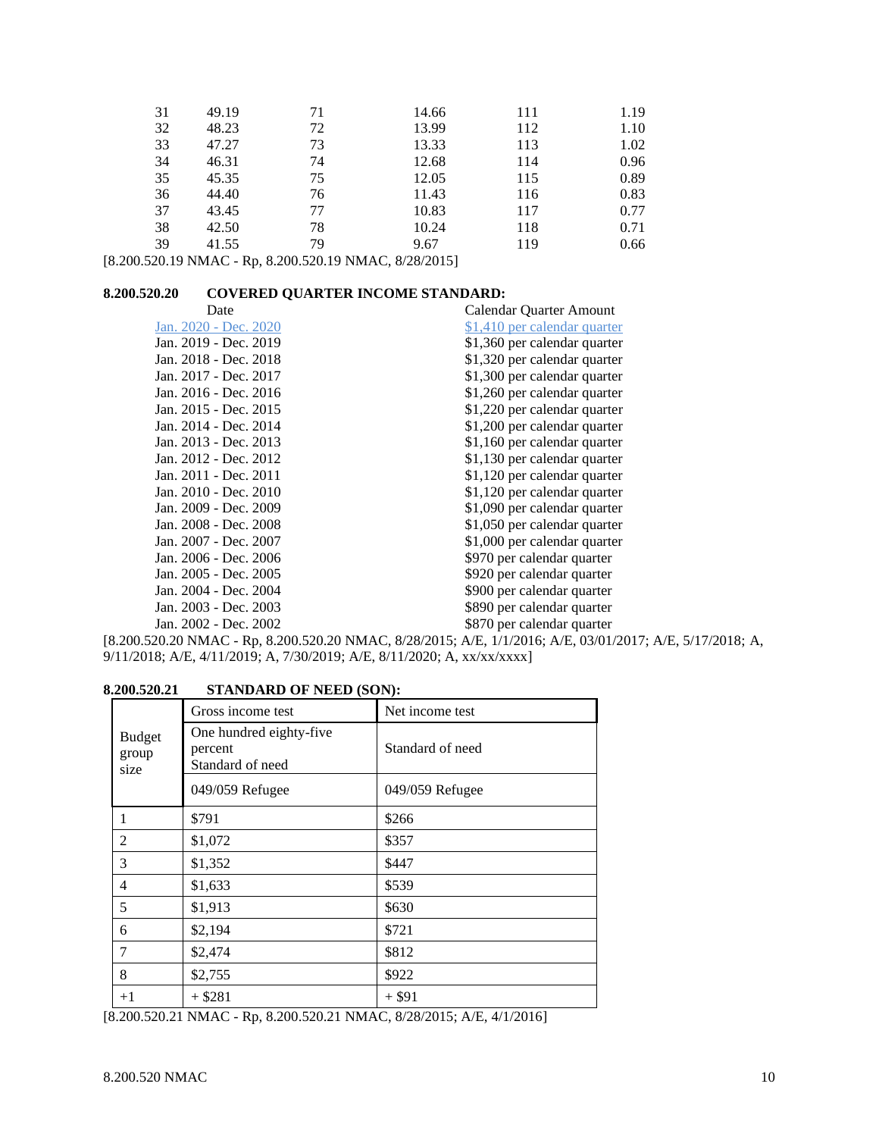| 31 | 49.19 | 71 | 14.66 | 111 | 1.19 |
|----|-------|----|-------|-----|------|
| 32 | 48.23 | 72 | 13.99 | 112 | 1.10 |
| 33 | 47.27 | 73 | 13.33 | 113 | 1.02 |
| 34 | 46.31 | 74 | 12.68 | 114 | 0.96 |
| 35 | 45.35 | 75 | 12.05 | 115 | 0.89 |
| 36 | 44.40 | 76 | 11.43 | 116 | 0.83 |
| 37 | 43.45 | 77 | 10.83 | 117 | 0.77 |
| 38 | 42.50 | 78 | 10.24 | 118 | 0.71 |
| 39 | 41.55 | 79 | 9.67  | 119 | 0.66 |

[8.200.520.19 NMAC - Rp, 8.200.520.19 NMAC, 8/28/2015]

# **8.200.520.20 COVERED QUARTER INCOME STANDARD:**

| Date                  | Calendar Quarter Amount      |
|-----------------------|------------------------------|
| Jan. 2020 - Dec. 2020 | \$1,410 per calendar quarter |
| Jan. 2019 - Dec. 2019 | \$1,360 per calendar quarter |
| Jan. 2018 - Dec. 2018 | \$1,320 per calendar quarter |
| Jan. 2017 - Dec. 2017 | \$1,300 per calendar quarter |
| Jan. 2016 - Dec. 2016 | \$1,260 per calendar quarter |
| Jan. 2015 - Dec. 2015 | \$1,220 per calendar quarter |
| Jan. 2014 - Dec. 2014 | \$1,200 per calendar quarter |
| Jan. 2013 - Dec. 2013 | \$1,160 per calendar quarter |
| Jan. 2012 - Dec. 2012 | \$1,130 per calendar quarter |
| Jan. 2011 - Dec. 2011 | \$1,120 per calendar quarter |
| Jan. 2010 - Dec. 2010 | \$1,120 per calendar quarter |
| Jan. 2009 - Dec. 2009 | \$1,090 per calendar quarter |
| Jan. 2008 - Dec. 2008 | \$1,050 per calendar quarter |
| Jan. 2007 - Dec. 2007 | \$1,000 per calendar quarter |
| Jan. 2006 - Dec. 2006 | \$970 per calendar quarter   |
| Jan. 2005 - Dec. 2005 | \$920 per calendar quarter   |
| Jan. 2004 - Dec. 2004 | \$900 per calendar quarter   |
| Jan. 2003 - Dec. 2003 | \$890 per calendar quarter   |
| Jan. 2002 - Dec. 2002 | \$870 per calendar quarter   |
|                       |                              |

[8.200.520.20 NMAC - Rp, 8.200.520.20 NMAC, 8/28/2015; A/E, 1/1/2016; A/E, 03/01/2017; A/E, 5/17/2018; A, 9/11/2018; A/E, 4/11/2019; A, 7/30/2019; A/E, 8/11/2020; A, xx/xx/xxxx]

# **8.200.520.21 STANDARD OF NEED (SON):**

|                                | Gross income test                                      | Net income test  |
|--------------------------------|--------------------------------------------------------|------------------|
| <b>Budget</b><br>group<br>size | One hundred eighty-five<br>percent<br>Standard of need | Standard of need |
|                                | 049/059 Refugee                                        | 049/059 Refugee  |
| 1                              | \$791                                                  | \$266            |
| $\overline{c}$                 | \$1,072                                                | \$357            |
| 3                              | \$1,352                                                | \$447            |
| $\overline{4}$                 | \$1,633                                                | \$539            |
| 5                              | \$1,913                                                | \$630            |
| 6                              | \$2,194                                                | \$721            |
| 7                              | \$2,474                                                | \$812            |
| 8                              | \$2,755                                                | \$922            |
| $+1$                           | $+$ \$281                                              | $+$ \$91         |

[8.200.520.21 NMAC - Rp, 8.200.520.21 NMAC, 8/28/2015; A/E, 4/1/2016]